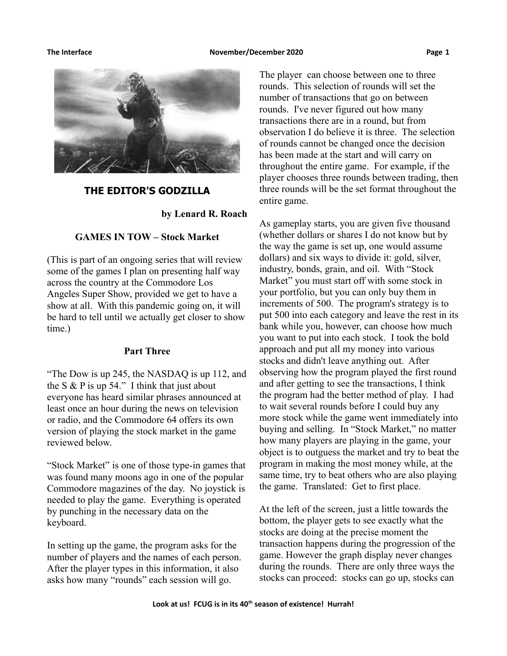

# **THE EDITOR'S GODZILLA**

**by Lenard R. Roach**

# **GAMES IN TOW – Stock Market**

(This is part of an ongoing series that will review some of the games I plan on presenting half way across the country at the Commodore Los Angeles Super Show, provided we get to have a show at all. With this pandemic going on, it will be hard to tell until we actually get closer to show time.)

## **Part Three**

"The Dow is up 245, the NASDAQ is up 112, and the S  $&$  P is up 54." I think that just about everyone has heard similar phrases announced at least once an hour during the news on television or radio, and the Commodore 64 offers its own version of playing the stock market in the game reviewed below.

"Stock Market" is one of those type-in games that was found many moons ago in one of the popular Commodore magazines of the day. No joystick is needed to play the game. Everything is operated by punching in the necessary data on the keyboard.

In setting up the game, the program asks for the number of players and the names of each person. After the player types in this information, it also asks how many "rounds" each session will go.

The player can choose between one to three rounds. This selection of rounds will set the number of transactions that go on between rounds. I've never figured out how many transactions there are in a round, but from observation I do believe it is three. The selection of rounds cannot be changed once the decision has been made at the start and will carry on throughout the entire game. For example, if the player chooses three rounds between trading, then three rounds will be the set format throughout the entire game.

As gameplay starts, you are given five thousand (whether dollars or shares I do not know but by the way the game is set up, one would assume dollars) and six ways to divide it: gold, silver, industry, bonds, grain, and oil. With "Stock Market" you must start off with some stock in your portfolio, but you can only buy them in increments of 500. The program's strategy is to put 500 into each category and leave the rest in its bank while you, however, can choose how much you want to put into each stock. I took the bold approach and put all my money into various stocks and didn't leave anything out. After observing how the program played the first round and after getting to see the transactions, I think the program had the better method of play. I had to wait several rounds before I could buy any more stock while the game went immediately into buying and selling. In "Stock Market," no matter how many players are playing in the game, your object is to outguess the market and try to beat the program in making the most money while, at the same time, try to beat others who are also playing the game. Translated: Get to first place.

At the left of the screen, just a little towards the bottom, the player gets to see exactly what the stocks are doing at the precise moment the transaction happens during the progression of the game. However the graph display never changes during the rounds. There are only three ways the stocks can proceed: stocks can go up, stocks can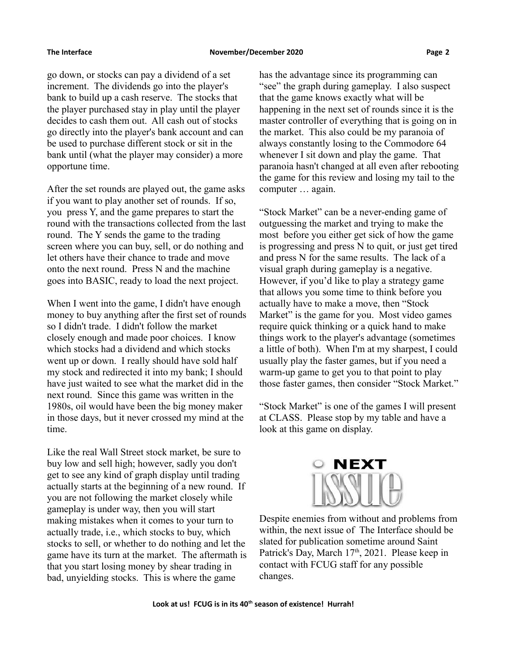go down, or stocks can pay a dividend of a set increment. The dividends go into the player's bank to build up a cash reserve. The stocks that the player purchased stay in play until the player decides to cash them out. All cash out of stocks go directly into the player's bank account and can be used to purchase different stock or sit in the bank until (what the player may consider) a more opportune time.

After the set rounds are played out, the game asks if you want to play another set of rounds. If so, you press Y, and the game prepares to start the round with the transactions collected from the last round. The Y sends the game to the trading screen where you can buy, sell, or do nothing and let others have their chance to trade and move onto the next round. Press N and the machine goes into BASIC, ready to load the next project.

When I went into the game, I didn't have enough money to buy anything after the first set of rounds so I didn't trade. I didn't follow the market closely enough and made poor choices. I know which stocks had a dividend and which stocks went up or down. I really should have sold half my stock and redirected it into my bank; I should have just waited to see what the market did in the next round. Since this game was written in the 1980s, oil would have been the big money maker in those days, but it never crossed my mind at the time.

Like the real Wall Street stock market, be sure to buy low and sell high; however, sadly you don't get to see any kind of graph display until trading actually starts at the beginning of a new round. If you are not following the market closely while gameplay is under way, then you will start making mistakes when it comes to your turn to actually trade, i.e., which stocks to buy, which stocks to sell, or whether to do nothing and let the game have its turn at the market. The aftermath is that you start losing money by shear trading in bad, unyielding stocks. This is where the game

has the advantage since its programming can "see" the graph during gameplay. I also suspect that the game knows exactly what will be happening in the next set of rounds since it is the master controller of everything that is going on in the market. This also could be my paranoia of always constantly losing to the Commodore 64 whenever I sit down and play the game. That paranoia hasn't changed at all even after rebooting the game for this review and losing my tail to the computer … again.

"Stock Market" can be a never-ending game of outguessing the market and trying to make the most before you either get sick of how the game is progressing and press N to quit, or just get tired and press N for the same results. The lack of a visual graph during gameplay is a negative. However, if you'd like to play a strategy game that allows you some time to think before you actually have to make a move, then "Stock Market" is the game for you. Most video games require quick thinking or a quick hand to make things work to the player's advantage (sometimes a little of both). When I'm at my sharpest, I could usually play the faster games, but if you need a warm-up game to get you to that point to play those faster games, then consider "Stock Market."

"Stock Market" is one of the games I will present at CLASS. Please stop by my table and have a look at this game on display.



Despite enemies from without and problems from within, the next issue of The Interface should be slated for publication sometime around Saint Patrick's Day, March 17<sup>th</sup>, 2021. Please keep in contact with FCUG staff for any possible changes.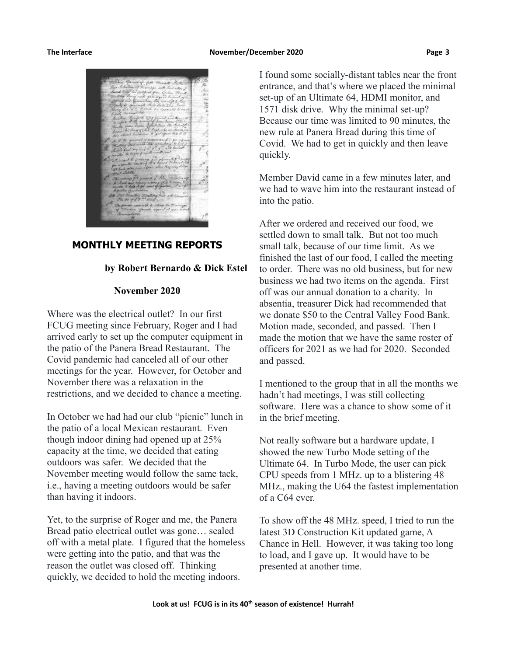

# **MONTHLY MEETING REPORTS**

## **by Robert Bernardo & Dick Estel**

### **November 2020**

Where was the electrical outlet? In our first FCUG meeting since February, Roger and I had arrived early to set up the computer equipment in the patio of the Panera Bread Restaurant. The Covid pandemic had canceled all of our other meetings for the year. However, for October and November there was a relaxation in the restrictions, and we decided to chance a meeting.

In October we had had our club "picnic" lunch in the patio of a local Mexican restaurant. Even though indoor dining had opened up at 25% capacity at the time, we decided that eating outdoors was safer. We decided that the November meeting would follow the same tack, i.e., having a meeting outdoors would be safer than having it indoors.

Yet, to the surprise of Roger and me, the Panera Bread patio electrical outlet was gone… sealed off with a metal plate. I figured that the homeless were getting into the patio, and that was the reason the outlet was closed off. Thinking quickly, we decided to hold the meeting indoors.

I found some socially-distant tables near the front entrance, and that's where we placed the minimal set-up of an Ultimate 64, HDMI monitor, and 1571 disk drive. Why the minimal set-up? Because our time was limited to 90 minutes, the new rule at Panera Bread during this time of Covid. We had to get in quickly and then leave quickly.

Member David came in a few minutes later, and we had to wave him into the restaurant instead of into the patio.

After we ordered and received our food, we settled down to small talk. But not too much small talk, because of our time limit. As we finished the last of our food, I called the meeting to order. There was no old business, but for new business we had two items on the agenda. First off was our annual donation to a charity. In absentia, treasurer Dick had recommended that we donate \$50 to the Central Valley Food Bank. Motion made, seconded, and passed. Then I made the motion that we have the same roster of officers for 2021 as we had for 2020. Seconded and passed.

I mentioned to the group that in all the months we hadn't had meetings, I was still collecting software. Here was a chance to show some of it in the brief meeting.

Not really software but a hardware update, I showed the new Turbo Mode setting of the Ultimate 64. In Turbo Mode, the user can pick CPU speeds from 1 MHz. up to a blistering 48 MHz., making the U64 the fastest implementation of a C64 ever.

To show off the 48 MHz. speed, I tried to run the latest 3D Construction Kit updated game, A Chance in Hell. However, it was taking too long to load, and I gave up. It would have to be presented at another time.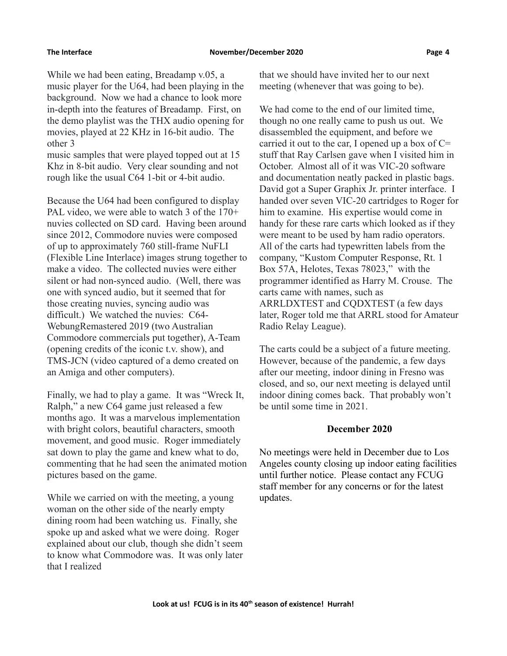While we had been eating, Breadamp v.05, a music player for the U64, had been playing in the background. Now we had a chance to look more in-depth into the features of Breadamp. First, on the demo playlist was the THX audio opening for movies, played at 22 KHz in 16-bit audio. The other 3

music samples that were played topped out at 15 Khz in 8-bit audio. Very clear sounding and not rough like the usual C64 1-bit or 4-bit audio.

Because the U64 had been configured to display PAL video, we were able to watch 3 of the 170+ nuvies collected on SD card. Having been around since 2012, Commodore nuvies were composed of up to approximately 760 still-frame NuFLI (Flexible Line Interlace) images strung together to make a video. The collected nuvies were either silent or had non-synced audio. (Well, there was one with synced audio, but it seemed that for those creating nuvies, syncing audio was difficult.) We watched the nuvies: C64- WebungRemastered 2019 (two Australian Commodore commercials put together), A-Team (opening credits of the iconic t.v. show), and TMS-JCN (video captured of a demo created on an Amiga and other computers).

Finally, we had to play a game. It was "Wreck It, Ralph," a new C64 game just released a few months ago. It was a marvelous implementation with bright colors, beautiful characters, smooth movement, and good music. Roger immediately sat down to play the game and knew what to do, commenting that he had seen the animated motion pictures based on the game.

While we carried on with the meeting, a young woman on the other side of the nearly empty dining room had been watching us. Finally, she spoke up and asked what we were doing. Roger explained about our club, though she didn't seem to know what Commodore was. It was only later that I realized

that we should have invited her to our next meeting (whenever that was going to be).

We had come to the end of our limited time, though no one really came to push us out. We disassembled the equipment, and before we carried it out to the car, I opened up a box of  $C=$ stuff that Ray Carlsen gave when I visited him in October. Almost all of it was VIC-20 software and documentation neatly packed in plastic bags. David got a Super Graphix Jr. printer interface. I handed over seven VIC-20 cartridges to Roger for him to examine. His expertise would come in handy for these rare carts which looked as if they were meant to be used by ham radio operators. All of the carts had typewritten labels from the company, "Kustom Computer Response, Rt. 1 Box 57A, Helotes, Texas 78023," with the programmer identified as Harry M. Crouse. The carts came with names, such as ARRLDXTEST and CQDXTEST (a few days later, Roger told me that ARRL stood for Amateur Radio Relay League).

The carts could be a subject of a future meeting. However, because of the pandemic, a few days after our meeting, indoor dining in Fresno was closed, and so, our next meeting is delayed until indoor dining comes back. That probably won't be until some time in 2021.

### **December 2020**

No meetings were held in December due to Los Angeles county closing up indoor eating facilities until further notice. Please contact any FCUG staff member for any concerns or for the latest updates.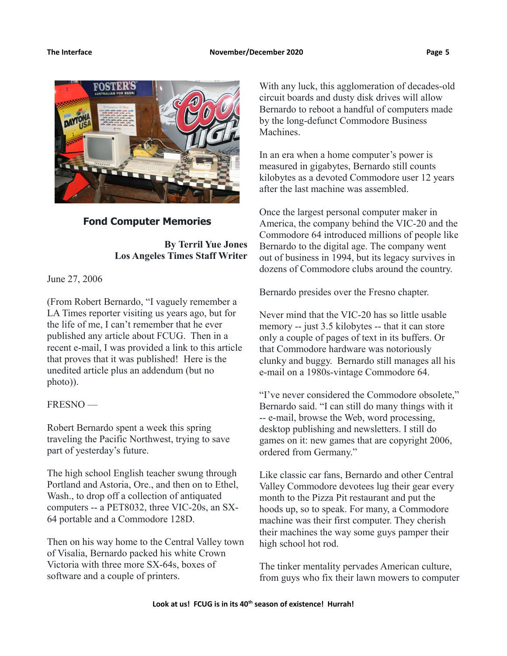

# **Fond Computer Memories**

**By Terril Yue Jones Los Angeles Times Staff Writer**

June 27, 2006

(From Robert Bernardo, "I vaguely remember a LA Times reporter visiting us years ago, but for the life of me, I can't remember that he ever published any article about FCUG. Then in a recent e-mail, I was provided a link to this article that proves that it was published! Here is the unedited article plus an addendum (but no photo)).

# FRESNO —

Robert Bernardo spent a week this spring traveling the Pacific Northwest, trying to save part of yesterday's future.

The high school English teacher swung through Portland and Astoria, Ore., and then on to Ethel, Wash., to drop off a collection of antiquated computers -- a PET8032, three VIC-20s, an SX-64 portable and a Commodore 128D.

Then on his way home to the Central Valley town of Visalia, Bernardo packed his white Crown Victoria with three more SX-64s, boxes of software and a couple of printers.

With any luck, this agglomeration of decades-old circuit boards and dusty disk drives will allow Bernardo to reboot a handful of computers made by the long-defunct Commodore Business Machines.

In an era when a home computer's power is measured in gigabytes, Bernardo still counts kilobytes as a devoted Commodore user 12 years after the last machine was assembled.

Once the largest personal computer maker in America, the company behind the VIC-20 and the Commodore 64 introduced millions of people like Bernardo to the digital age. The company went out of business in 1994, but its legacy survives in dozens of Commodore clubs around the country.

Bernardo presides over the Fresno chapter.

Never mind that the VIC-20 has so little usable memory -- just 3.5 kilobytes -- that it can store only a couple of pages of text in its buffers. Or that Commodore hardware was notoriously clunky and buggy. Bernardo still manages all his e-mail on a 1980s-vintage Commodore 64.

"I've never considered the Commodore obsolete," Bernardo said. "I can still do many things with it -- e-mail, browse the Web, word processing, desktop publishing and newsletters. I still do games on it: new games that are copyright 2006, ordered from Germany."

Like classic car fans, Bernardo and other Central Valley Commodore devotees lug their gear every month to the Pizza Pit restaurant and put the hoods up, so to speak. For many, a Commodore machine was their first computer. They cherish their machines the way some guys pamper their high school hot rod.

The tinker mentality pervades American culture, from guys who fix their lawn mowers to computer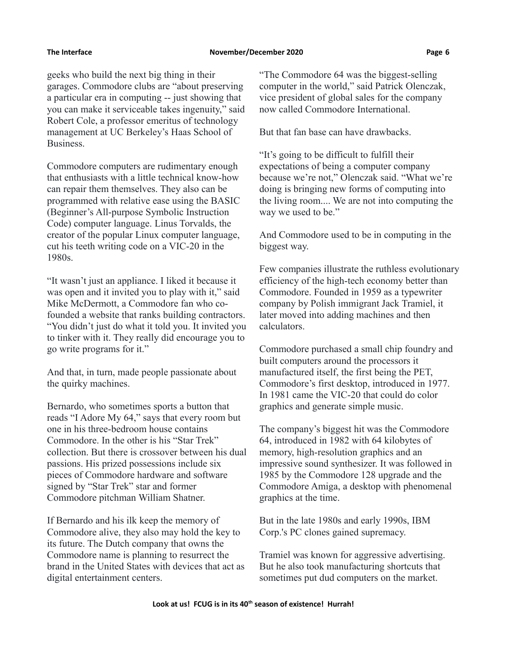geeks who build the next big thing in their garages. Commodore clubs are "about preserving a particular era in computing -- just showing that you can make it serviceable takes ingenuity," said Robert Cole, a professor emeritus of technology management at UC Berkeley's Haas School of Business.

Commodore computers are rudimentary enough that enthusiasts with a little technical know-how can repair them themselves. They also can be programmed with relative ease using the BASIC (Beginner's All-purpose Symbolic Instruction Code) computer language. Linus Torvalds, the creator of the popular Linux computer language, cut his teeth writing code on a VIC-20 in the 1980s.

"It wasn't just an appliance. I liked it because it was open and it invited you to play with it," said Mike McDermott, a Commodore fan who cofounded a website that ranks building contractors. "You didn't just do what it told you. It invited you to tinker with it. They really did encourage you to go write programs for it."

And that, in turn, made people passionate about the quirky machines.

Bernardo, who sometimes sports a button that reads "I Adore My 64," says that every room but one in his three-bedroom house contains Commodore. In the other is his "Star Trek" collection. But there is crossover between his dual passions. His prized possessions include six pieces of Commodore hardware and software signed by "Star Trek" star and former Commodore pitchman William Shatner.

If Bernardo and his ilk keep the memory of Commodore alive, they also may hold the key to its future. The Dutch company that owns the Commodore name is planning to resurrect the brand in the United States with devices that act as digital entertainment centers.

"The Commodore 64 was the biggest-selling computer in the world," said Patrick Olenczak, vice president of global sales for the company now called Commodore International.

But that fan base can have drawbacks.

"It's going to be difficult to fulfill their expectations of being a computer company because we're not," Olenczak said. "What we're doing is bringing new forms of computing into the living room.... We are not into computing the way we used to be."

And Commodore used to be in computing in the biggest way.

Few companies illustrate the ruthless evolutionary efficiency of the high-tech economy better than Commodore. Founded in 1959 as a typewriter company by Polish immigrant Jack Tramiel, it later moved into adding machines and then calculators.

Commodore purchased a small chip foundry and built computers around the processors it manufactured itself, the first being the PET, Commodore's first desktop, introduced in 1977. In 1981 came the VIC-20 that could do color graphics and generate simple music.

The company's biggest hit was the Commodore 64, introduced in 1982 with 64 kilobytes of memory, high-resolution graphics and an impressive sound synthesizer. It was followed in 1985 by the Commodore 128 upgrade and the Commodore Amiga, a desktop with phenomenal graphics at the time.

But in the late 1980s and early 1990s, IBM Corp.'s PC clones gained supremacy.

Tramiel was known for aggressive advertising. But he also took manufacturing shortcuts that sometimes put dud computers on the market.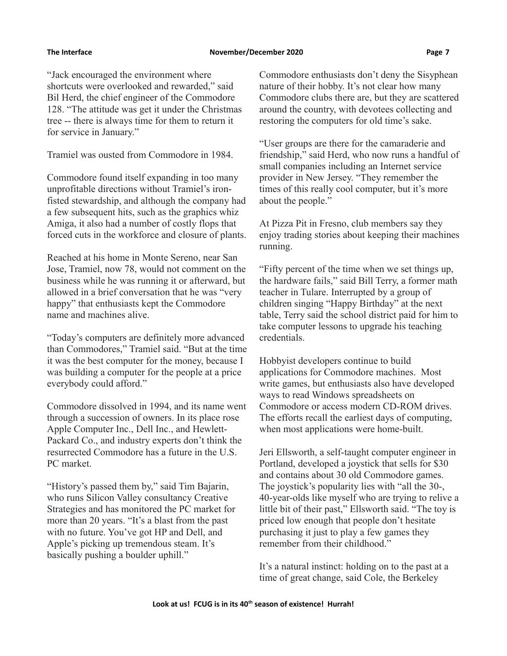"Jack encouraged the environment where shortcuts were overlooked and rewarded," said Bil Herd, the chief engineer of the Commodore 128. "The attitude was get it under the Christmas tree -- there is always time for them to return it for service in January."

Tramiel was ousted from Commodore in 1984.

Commodore found itself expanding in too many unprofitable directions without Tramiel's ironfisted stewardship, and although the company had a few subsequent hits, such as the graphics whiz Amiga, it also had a number of costly flops that forced cuts in the workforce and closure of plants.

Reached at his home in Monte Sereno, near San Jose, Tramiel, now 78, would not comment on the business while he was running it or afterward, but allowed in a brief conversation that he was "very happy" that enthusiasts kept the Commodore name and machines alive.

"Today's computers are definitely more advanced than Commodores," Tramiel said. "But at the time it was the best computer for the money, because I was building a computer for the people at a price everybody could afford."

Commodore dissolved in 1994, and its name went through a succession of owners. In its place rose Apple Computer Inc., Dell Inc., and Hewlett-Packard Co., and industry experts don't think the resurrected Commodore has a future in the U.S. PC market.

"History's passed them by," said Tim Bajarin, who runs Silicon Valley consultancy Creative Strategies and has monitored the PC market for more than 20 years. "It's a blast from the past with no future. You've got HP and Dell, and Apple's picking up tremendous steam. It's basically pushing a boulder uphill."

Commodore enthusiasts don't deny the Sisyphean nature of their hobby. It's not clear how many Commodore clubs there are, but they are scattered around the country, with devotees collecting and restoring the computers for old time's sake.

"User groups are there for the camaraderie and friendship," said Herd, who now runs a handful of small companies including an Internet service provider in New Jersey. "They remember the times of this really cool computer, but it's more about the people."

At Pizza Pit in Fresno, club members say they enjoy trading stories about keeping their machines running.

"Fifty percent of the time when we set things up, the hardware fails," said Bill Terry, a former math teacher in Tulare. Interrupted by a group of children singing "Happy Birthday" at the next table, Terry said the school district paid for him to take computer lessons to upgrade his teaching credentials.

Hobbyist developers continue to build applications for Commodore machines. Most write games, but enthusiasts also have developed ways to read Windows spreadsheets on Commodore or access modern CD-ROM drives. The efforts recall the earliest days of computing, when most applications were home-built.

Jeri Ellsworth, a self-taught computer engineer in Portland, developed a joystick that sells for \$30 and contains about 30 old Commodore games. The joystick's popularity lies with "all the 30-, 40-year-olds like myself who are trying to relive a little bit of their past," Ellsworth said. "The toy is priced low enough that people don't hesitate purchasing it just to play a few games they remember from their childhood."

It's a natural instinct: holding on to the past at a time of great change, said Cole, the Berkeley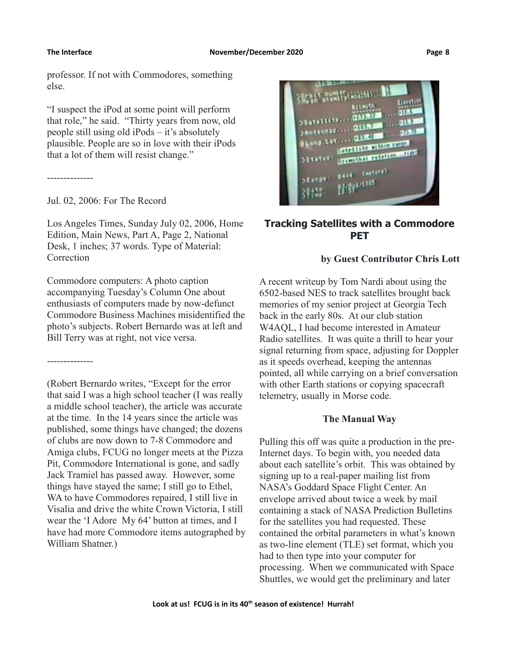professor. If not with Commodores, something else.

"I suspect the iPod at some point will perform that role," he said. "Thirty years from now, old people still using old iPods – it's absolutely plausible. People are so in love with their iPods that a lot of them will resist change."

--------------

--------------

Jul. 02, 2006: For The Record

Los Angeles Times, Sunday July 02, 2006, Home Edition, Main News, Part A, Page 2, National Desk, 1 inches; 37 words. Type of Material: Correction

Commodore computers: A photo caption accompanying Tuesday's Column One about enthusiasts of computers made by now-defunct Commodore Business Machines misidentified the photo's subjects. Robert Bernardo was at left and Bill Terry was at right, not vice versa.

(Robert Bernardo writes, "Except for the error that said I was a high school teacher (I was really a middle school teacher), the article was accurate at the time. In the 14 years since the article was published, some things have changed; the dozens of clubs are now down to 7-8 Commodore and Amiga clubs, FCUG no longer meets at the Pizza Pit, Commodore International is gone, and sadly Jack Tramiel has passed away. However, some things have stayed the same; I still go to Ethel, WA to have Commodores repaired, I still live in Visalia and drive the white Crown Victoria, I still wear the 'I Adore My 64' button at times, and I have had more Commodore items autographed by William Shatner.)



# **Tracking Satellites with a Commodore PET**

## **by Guest Contributor Chris Lott**

A recent writeup by Tom Nardi about using the 6502-based NES to track satellites brought back memories of my senior project at Georgia Tech back in the early 80s. At our club station W4AQL, I had become interested in Amateur Radio satellites. It was quite a thrill to hear your signal returning from space, adjusting for Doppler as it speeds overhead, keeping the antennas pointed, all while carrying on a brief conversation with other Earth stations or copying spacecraft telemetry, usually in Morse code.

# **The Manual Way**

Pulling this off was quite a production in the pre-Internet days. To begin with, you needed data about each satellite's orbit. This was obtained by signing up to a real-paper mailing list from NASA's Goddard Space Flight Center. An envelope arrived about twice a week by mail containing a stack of NASA Prediction Bulletins for the satellites you had requested. These contained the orbital parameters in what's known as two-line element (TLE) set format, which you had to then type into your computer for processing. When we communicated with Space Shuttles, we would get the preliminary and later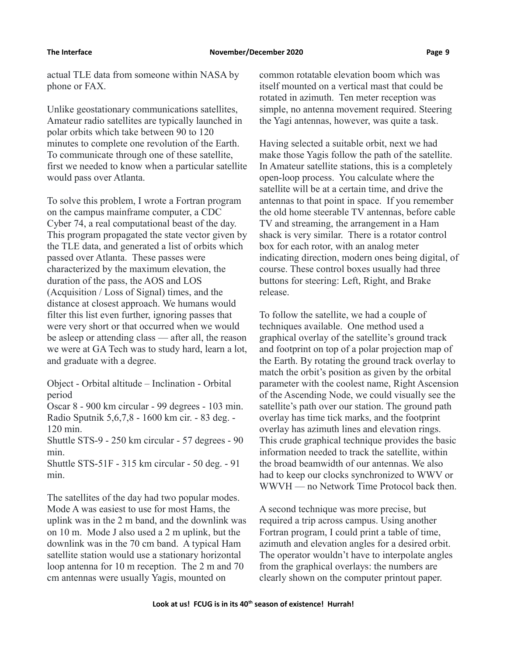actual TLE data from someone within NASA by phone or FAX.

Unlike geostationary communications satellites, Amateur radio satellites are typically launched in polar orbits which take between 90 to 120 minutes to complete one revolution of the Earth. To communicate through one of these satellite, first we needed to know when a particular satellite would pass over Atlanta.

To solve this problem, I wrote a Fortran program on the campus mainframe computer, a CDC Cyber 74, a real computational beast of the day. This program propagated the state vector given by the TLE data, and generated a list of orbits which passed over Atlanta. These passes were characterized by the maximum elevation, the duration of the pass, the AOS and LOS (Acquisition / Loss of Signal) times, and the distance at closest approach. We humans would filter this list even further, ignoring passes that were very short or that occurred when we would be asleep or attending class — after all, the reason we were at GA Tech was to study hard, learn a lot, and graduate with a degree.

Object - Orbital altitude – Inclination - Orbital period

Oscar 8 - 900 km circular - 99 degrees - 103 min. Radio Sputnik 5,6,7,8 - 1600 km cir. - 83 deg. - 120 min.

Shuttle STS-9 - 250 km circular - 57 degrees - 90 min.

Shuttle STS-51F - 315 km circular - 50 deg. - 91 min.

The satellites of the day had two popular modes. Mode A was easiest to use for most Hams, the uplink was in the 2 m band, and the downlink was on 10 m. Mode J also used a 2 m uplink, but the downlink was in the 70 cm band. A typical Ham satellite station would use a stationary horizontal loop antenna for 10 m reception. The 2 m and 70 cm antennas were usually Yagis, mounted on

common rotatable elevation boom which was itself mounted on a vertical mast that could be rotated in azimuth. Ten meter reception was simple, no antenna movement required. Steering the Yagi antennas, however, was quite a task.

Having selected a suitable orbit, next we had make those Yagis follow the path of the satellite. In Amateur satellite stations, this is a completely open-loop process. You calculate where the satellite will be at a certain time, and drive the antennas to that point in space. If you remember the old home steerable TV antennas, before cable TV and streaming, the arrangement in a Ham shack is very similar. There is a rotator control box for each rotor, with an analog meter indicating direction, modern ones being digital, of course. These control boxes usually had three buttons for steering: Left, Right, and Brake release.

To follow the satellite, we had a couple of techniques available. One method used a graphical overlay of the satellite's ground track and footprint on top of a polar projection map of the Earth. By rotating the ground track overlay to match the orbit's position as given by the orbital parameter with the coolest name, Right Ascension of the Ascending Node, we could visually see the satellite's path over our station. The ground path overlay has time tick marks, and the footprint overlay has azimuth lines and elevation rings. This crude graphical technique provides the basic information needed to track the satellite, within the broad beamwidth of our antennas. We also had to keep our clocks synchronized to WWV or WWVH — no Network Time Protocol back then.

A second technique was more precise, but required a trip across campus. Using another Fortran program, I could print a table of time, azimuth and elevation angles for a desired orbit. The operator wouldn't have to interpolate angles from the graphical overlays: the numbers are clearly shown on the computer printout paper.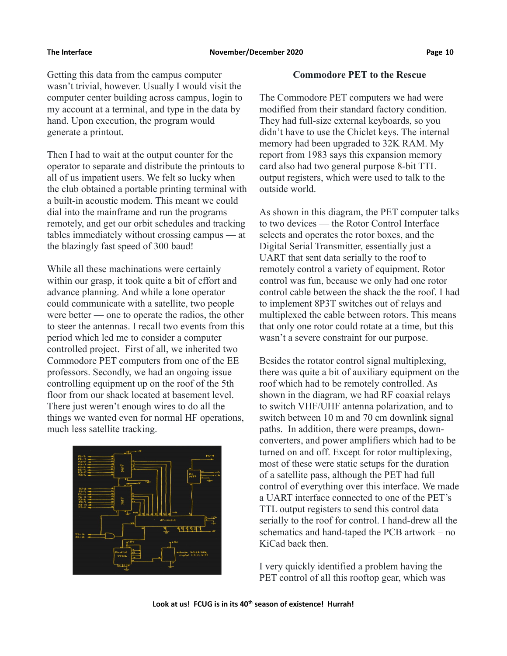Getting this data from the campus computer wasn't trivial, however. Usually I would visit the computer center building across campus, login to my account at a terminal, and type in the data by hand. Upon execution, the program would generate a printout.

Then I had to wait at the output counter for the operator to separate and distribute the printouts to all of us impatient users. We felt so lucky when the club obtained a portable printing terminal with a built-in acoustic modem. This meant we could dial into the mainframe and run the programs remotely, and get our orbit schedules and tracking tables immediately without crossing campus — at the blazingly fast speed of 300 baud!

While all these machinations were certainly within our grasp, it took quite a bit of effort and advance planning. And while a lone operator could communicate with a satellite, two people were better — one to operate the radios, the other to steer the antennas. I recall two events from this period which led me to consider a computer controlled project. First of all, we inherited two Commodore PET computers from one of the EE professors. Secondly, we had an ongoing issue controlling equipment up on the roof of the 5th floor from our shack located at basement level. There just weren't enough wires to do all the things we wanted even for normal HF operations, much less satellite tracking.



### **Commodore PET to the Rescue**

The Commodore PET computers we had were modified from their standard factory condition. They had full-size external keyboards, so you didn't have to use the Chiclet keys. The internal memory had been upgraded to 32K RAM. My report from 1983 says this expansion memory card also had two general purpose 8-bit TTL output registers, which were used to talk to the outside world.

As shown in this diagram, the PET computer talks to two devices — the Rotor Control Interface selects and operates the rotor boxes, and the Digital Serial Transmitter, essentially just a UART that sent data serially to the roof to remotely control a variety of equipment. Rotor control was fun, because we only had one rotor control cable between the shack the the roof. I had to implement 8P3T switches out of relays and multiplexed the cable between rotors. This means that only one rotor could rotate at a time, but this wasn't a severe constraint for our purpose.

Besides the rotator control signal multiplexing, there was quite a bit of auxiliary equipment on the roof which had to be remotely controlled. As shown in the diagram, we had RF coaxial relays to switch VHF/UHF antenna polarization, and to switch between 10 m and 70 cm downlink signal paths. In addition, there were preamps, downconverters, and power amplifiers which had to be turned on and off. Except for rotor multiplexing, most of these were static setups for the duration of a satellite pass, although the PET had full control of everything over this interface. We made a UART interface connected to one of the PET's TTL output registers to send this control data serially to the roof for control. I hand-drew all the schematics and hand-taped the PCB artwork – no KiCad back then.

I very quickly identified a problem having the PET control of all this rooftop gear, which was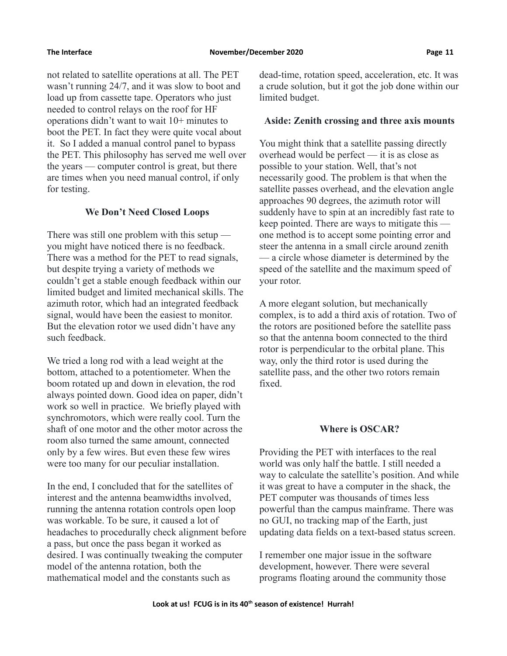not related to satellite operations at all. The PET wasn't running 24/7, and it was slow to boot and load up from cassette tape. Operators who just needed to control relays on the roof for HF operations didn't want to wait 10+ minutes to boot the PET. In fact they were quite vocal about it. So I added a manual control panel to bypass the PET. This philosophy has served me well over the years — computer control is great, but there are times when you need manual control, if only for testing.

## **We Don't Need Closed Loops**

There was still one problem with this setup you might have noticed there is no feedback. There was a method for the PET to read signals, but despite trying a variety of methods we couldn't get a stable enough feedback within our limited budget and limited mechanical skills. The azimuth rotor, which had an integrated feedback signal, would have been the easiest to monitor. But the elevation rotor we used didn't have any such feedback.

We tried a long rod with a lead weight at the bottom, attached to a potentiometer. When the boom rotated up and down in elevation, the rod always pointed down. Good idea on paper, didn't work so well in practice. We briefly played with synchromotors, which were really cool. Turn the shaft of one motor and the other motor across the room also turned the same amount, connected only by a few wires. But even these few wires were too many for our peculiar installation.

In the end, I concluded that for the satellites of interest and the antenna beamwidths involved, running the antenna rotation controls open loop was workable. To be sure, it caused a lot of headaches to procedurally check alignment before a pass, but once the pass began it worked as desired. I was continually tweaking the computer model of the antenna rotation, both the mathematical model and the constants such as

dead-time, rotation speed, acceleration, etc. It was a crude solution, but it got the job done within our limited budget.

### **Aside: Zenith crossing and three axis mounts**

You might think that a satellite passing directly overhead would be perfect — it is as close as possible to your station. Well, that's not necessarily good. The problem is that when the satellite passes overhead, and the elevation angle approaches 90 degrees, the azimuth rotor will suddenly have to spin at an incredibly fast rate to keep pointed. There are ways to mitigate this one method is to accept some pointing error and steer the antenna in a small circle around zenith — a circle whose diameter is determined by the speed of the satellite and the maximum speed of your rotor.

A more elegant solution, but mechanically complex, is to add a third axis of rotation. Two of the rotors are positioned before the satellite pass so that the antenna boom connected to the third rotor is perpendicular to the orbital plane. This way, only the third rotor is used during the satellite pass, and the other two rotors remain fixed.

### **Where is OSCAR?**

Providing the PET with interfaces to the real world was only half the battle. I still needed a way to calculate the satellite's position. And while it was great to have a computer in the shack, the PET computer was thousands of times less powerful than the campus mainframe. There was no GUI, no tracking map of the Earth, just updating data fields on a text-based status screen.

I remember one major issue in the software development, however. There were several programs floating around the community those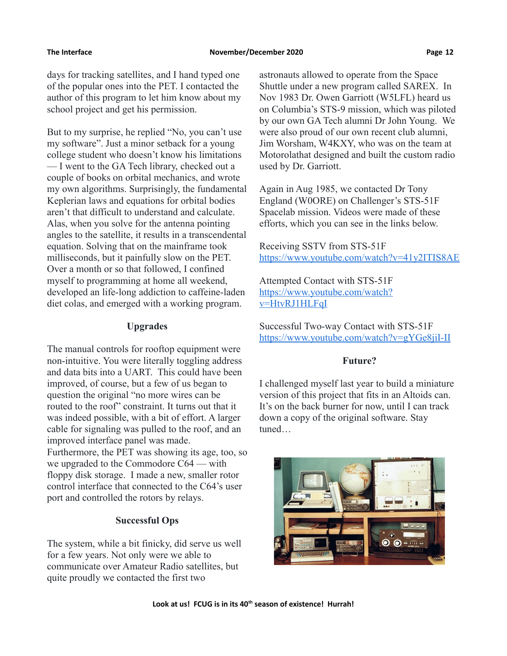days for tracking satellites, and I hand typed one of the popular ones into the PET. I contacted the author of this program to let him know about my school project and get his permission.

But to my surprise, he replied "No, you can't use my software". Just a minor setback for a young college student who doesn't know his limitations — I went to the GA Tech library, checked out a couple of books on orbital mechanics, and wrote my own algorithms. Surprisingly, the fundamental Keplerian laws and equations for orbital bodies aren't that difficult to understand and calculate. Alas, when you solve for the antenna pointing angles to the satellite, it results in a transcendental equation. Solving that on the mainframe took milliseconds, but it painfully slow on the PET. Over a month or so that followed, I confined myself to programming at home all weekend, developed an life-long addiction to caffeine-laden diet colas, and emerged with a working program.

## **Upgrades**

The manual controls for rooftop equipment were non-intuitive. You were literally toggling address and data bits into a UART. This could have been improved, of course, but a few of us began to question the original "no more wires can be routed to the roof" constraint. It turns out that it was indeed possible, with a bit of effort. A larger cable for signaling was pulled to the roof, and an improved interface panel was made. Furthermore, the PET was showing its age, too, so we upgraded to the Commodore C64 — with floppy disk storage. I made a new, smaller rotor control interface that connected to the C64's user port and controlled the rotors by relays.

# **Successful Ops**

The system, while a bit finicky, did serve us well for a few years. Not only were we able to communicate over Amateur Radio satellites, but quite proudly we contacted the first two

astronauts allowed to operate from the Space Shuttle under a new program called SAREX. In Nov 1983 Dr. Owen Garriott (W5LFL) heard us on Columbia's STS-9 mission, which was piloted by our own GA Tech alumni Dr John Young. We were also proud of our own recent club alumni, Jim Worsham, W4KXY, who was on the team at Motorolathat designed and built the custom radio used by Dr. Garriott.

Again in Aug 1985, we contacted Dr Tony England (W0ORE) on Challenger's STS-51F Spacelab mission. Videos were made of these efforts, which you can see in the links below.

Receiving SSTV from STS-51F <https://www.youtube.com/watch?v=41y2ITIS8AE>

Attempted Contact with STS-51F [https://www.youtube.com/watch?](https://www.youtube.com/watch?v=HtvRJ1HLFqI) [v=HtvRJ1HLFqI](https://www.youtube.com/watch?v=HtvRJ1HLFqI)

Successful Two-way Contact with STS-51F <https://www.youtube.com/watch?v=gYGe8jiI-II>

## **Future?**

I challenged myself last year to build a miniature version of this project that fits in an Altoids can. It's on the back burner for now, until I can track down a copy of the original software. Stay tuned…

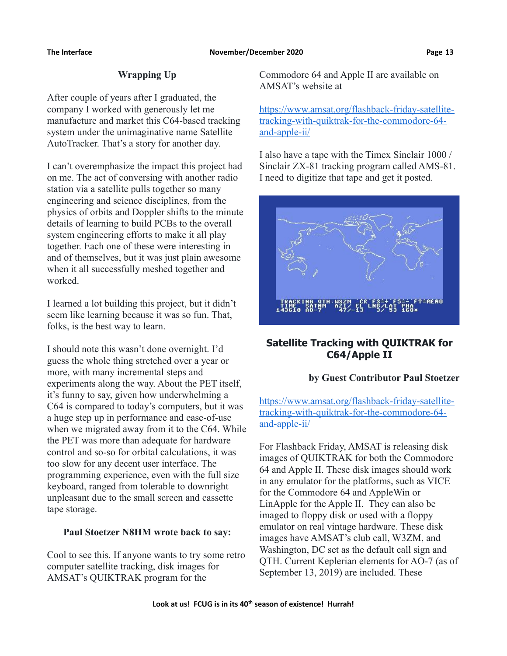# **Wrapping Up**

After couple of years after I graduated, the company I worked with generously let me manufacture and market this C64-based tracking system under the unimaginative name Satellite AutoTracker. That's a story for another day.

I can't overemphasize the impact this project had on me. The act of conversing with another radio station via a satellite pulls together so many engineering and science disciplines, from the physics of orbits and Doppler shifts to the minute details of learning to build PCBs to the overall system engineering efforts to make it all play together. Each one of these were interesting in and of themselves, but it was just plain awesome when it all successfully meshed together and worked.

I learned a lot building this project, but it didn't seem like learning because it was so fun. That, folks, is the best way to learn.

I should note this wasn't done overnight. I'd guess the whole thing stretched over a year or more, with many incremental steps and experiments along the way. About the PET itself, it's funny to say, given how underwhelming a C64 is compared to today's computers, but it was a huge step up in performance and ease-of-use when we migrated away from it to the C64. While the PET was more than adequate for hardware control and so-so for orbital calculations, it was too slow for any decent user interface. The programming experience, even with the full size keyboard, ranged from tolerable to downright unpleasant due to the small screen and cassette tape storage.

# **Paul Stoetzer N8HM wrote back to say:**

Cool to see this. If anyone wants to try some retro computer satellite tracking, disk images for AMSAT's QUIKTRAK program for the

Commodore 64 and Apple II are available on AMSAT's website at

[https://www.amsat.org/flashback-friday-satellite](https://www.amsat.org/flashback-friday-satellite-tracking-with-quiktrak-for-the-commodore-64-and-apple-ii/)[tracking-with-quiktrak-for-the-commodore-64](https://www.amsat.org/flashback-friday-satellite-tracking-with-quiktrak-for-the-commodore-64-and-apple-ii/) [and-apple-ii/](https://www.amsat.org/flashback-friday-satellite-tracking-with-quiktrak-for-the-commodore-64-and-apple-ii/)

I also have a tape with the Timex Sinclair 1000 / Sinclair ZX-81 tracking program called AMS-81. I need to digitize that tape and get it posted.



# **Satellite Tracking with QUIKTRAK for C64/Apple II**

# **by Guest Contributor Paul Stoetzer**

[https://www.amsat.org/flashback-friday-satellite](https://www.amsat.org/flashback-friday-satellite-tracking-with-quiktrak-for-the-commodore-64-and-apple-ii/)[tracking-with-quiktrak-for-the-commodore-64](https://www.amsat.org/flashback-friday-satellite-tracking-with-quiktrak-for-the-commodore-64-and-apple-ii/) [and-apple-ii/](https://www.amsat.org/flashback-friday-satellite-tracking-with-quiktrak-for-the-commodore-64-and-apple-ii/)

For Flashback Friday, AMSAT is releasing disk images of QUIKTRAK for both the Commodore 64 and Apple II. These disk images should work in any emulator for the platforms, such as VICE for the Commodore 64 and AppleWin or LinApple for the Apple II. They can also be imaged to floppy disk or used with a floppy emulator on real vintage hardware. These disk images have AMSAT's club call, W3ZM, and Washington, DC set as the default call sign and QTH. Current Keplerian elements for AO-7 (as of September 13, 2019) are included. These